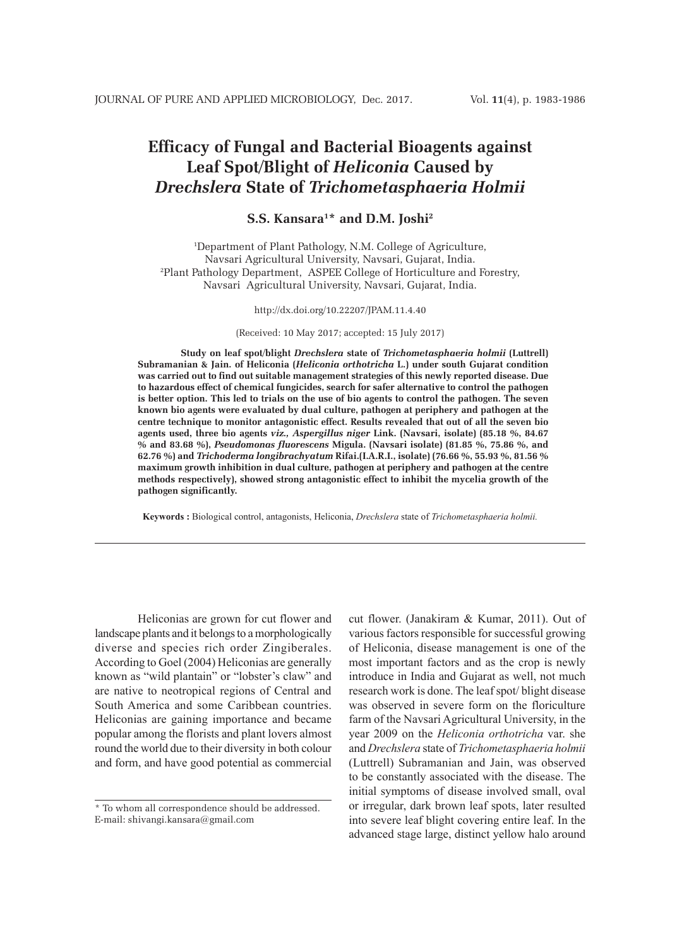# **Efficacy of Fungal and Bacterial Bioagents against Leaf Spot/Blight of** *Heliconia* **Caused by** *Drechslera* **State of** *Trichometasphaeria Holmii*

# **S.S. Kansara1 \* and D.M. Joshi2**

1 Department of Plant Pathology, N.M. College of Agriculture, Navsari Agricultural University, Navsari, Gujarat, India. 2 Plant Pathology Department, ASPEE College of Horticulture and Forestry, Navsari Agricultural University, Navsari, Gujarat, India.

#### http://dx.doi.org/10.22207/JPAM.11.4.40

(Received: 10 May 2017; accepted: 15 July 2017)

**Study on leaf spot/blight** *Drechslera* **state of** *Trichometasphaeria holmii* **(Luttrell) Subramanian & Jain. of Heliconia (***Heliconia orthotricha* **L.) under south Gujarat condition was carried out to find out suitable management strategies of this newly reported disease. Due to hazardous effect of chemical fungicides, search for safer alternative to control the pathogen is better option. This led to trials on the use of bio agents to control the pathogen. The seven known bio agents were evaluated by dual culture, pathogen at periphery and pathogen at the centre technique to monitor antagonistic effect. Results revealed that out of all the seven bio agents used, three bio agents** *viz., Aspergillus niger* **Link. (Navsari, isolate) (85.18 %, 84.67 % and 83.68 %),** *Pseudomonas fluorescens* **Migula. (Navsari isolate) (81.85 %, 75.86 %, and 62.76 %) and** *Trichoderma longibrachyatum* **Rifai.(I.A.R.I., isolate) (76.66 %, 55.93 %, 81.56 % maximum growth inhibition in dual culture, pathogen at periphery and pathogen at the centre methods respectively), showed strong antagonistic effect to inhibit the mycelia growth of the pathogen significantly.** 

**Keywords :** Biological control, antagonists, Heliconia, *Drechslera* state of *Trichometasphaeria holmii.*

Heliconias are grown for cut flower and landscape plants and it belongs to a morphologically diverse and species rich order Zingiberales. According to Goel (2004) Heliconias are generally known as "wild plantain" or "lobster's claw" and are native to neotropical regions of Central and South America and some Caribbean countries. Heliconias are gaining importance and became popular among the florists and plant lovers almost round the world due to their diversity in both colour and form, and have good potential as commercial

cut flower. (Janakiram & Kumar, 2011). Out of various factors responsible for successful growing of Heliconia, disease management is one of the most important factors and as the crop is newly introduce in India and Gujarat as well, not much research work is done. The leaf spot/ blight disease was observed in severe form on the floriculture farm of the Navsari Agricultural University, in the year 2009 on the *Heliconia orthotricha* var. she and *Drechslera* state of *Trichometasphaeria holmii* (Luttrell) Subramanian and Jain, was observed to be constantly associated with the disease. The initial symptoms of disease involved small, oval or irregular, dark brown leaf spots, later resulted into severe leaf blight covering entire leaf. In the advanced stage large, distinct yellow halo around

<sup>\*</sup> To whom all correspondence should be addressed. E-mail: shivangi.kansara@gmail.com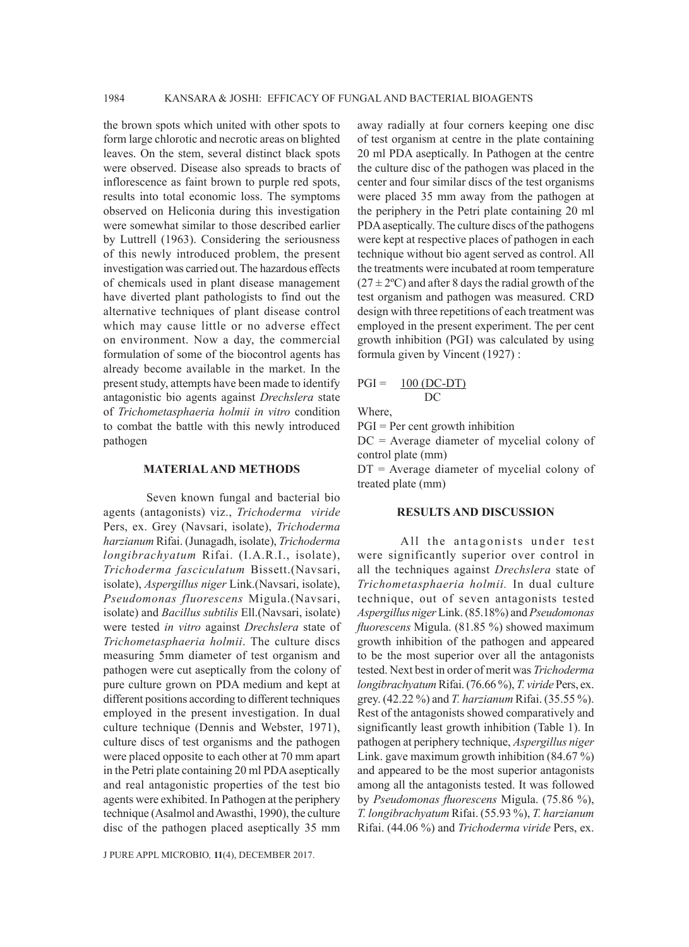the brown spots which united with other spots to form large chlorotic and necrotic areas on blighted leaves. On the stem, several distinct black spots were observed. Disease also spreads to bracts of inflorescence as faint brown to purple red spots, results into total economic loss. The symptoms observed on Heliconia during this investigation were somewhat similar to those described earlier by Luttrell (1963). Considering the seriousness of this newly introduced problem, the present investigation was carried out. The hazardous effects of chemicals used in plant disease management have diverted plant pathologists to find out the alternative techniques of plant disease control which may cause little or no adverse effect on environment. Now a day, the commercial formulation of some of the biocontrol agents has already become available in the market. In the present study, attempts have been made to identify antagonistic bio agents against *Drechslera* state of *Trichometasphaeria holmii in vitro* condition to combat the battle with this newly introduced pathogen

#### **MATERIAL AND METHODS**

Seven known fungal and bacterial bio agents (antagonists) viz., *Trichoderma viride* Pers, ex. Grey (Navsari, isolate), *Trichoderma harzianum* Rifai. (Junagadh, isolate), *Trichoderma longibrachyatum* Rifai. (I.A.R.I., isolate), *Trichoderma fasciculatum* Bissett.(Navsari, isolate), *Aspergillus niger* Link.(Navsari, isolate), *Pseudomonas fluorescens* Migula.(Navsari, isolate) and *Bacillus subtilis* Ell.(Navsari, isolate) were tested *in vitro* against *Drechslera* state of *Trichometasphaeria holmii*. The culture discs measuring 5mm diameter of test organism and pathogen were cut aseptically from the colony of pure culture grown on PDA medium and kept at different positions according to different techniques employed in the present investigation. In dual culture technique (Dennis and Webster, 1971), culture discs of test organisms and the pathogen were placed opposite to each other at 70 mm apart in the Petri plate containing 20 ml PDA aseptically and real antagonistic properties of the test bio agents were exhibited. In Pathogen at the periphery technique (Asalmol and Awasthi, 1990), the culture disc of the pathogen placed aseptically 35 mm

J PURE APPL MICROBIO*,* **11**(4), DECEMBER 2017.

away radially at four corners keeping one disc of test organism at centre in the plate containing 20 ml PDA aseptically. In Pathogen at the centre the culture disc of the pathogen was placed in the center and four similar discs of the test organisms were placed 35 mm away from the pathogen at the periphery in the Petri plate containing 20 ml PDA aseptically. The culture discs of the pathogens were kept at respective places of pathogen in each technique without bio agent served as control. All the treatments were incubated at room temperature  $(27 \pm 2^{\circ}C)$  and after 8 days the radial growth of the test organism and pathogen was measured. CRD design with three repetitions of each treatment was employed in the present experiment. The per cent growth inhibition (PGI) was calculated by using formula given by Vincent (1927) :

#### $PGI = 100 (DC-DT)$ DC

Where,

PGI = Per cent growth inhibition

DC = Average diameter of mycelial colony of control plate (mm)

DT = Average diameter of mycelial colony of treated plate (mm)

# **RESULTS AND DISCUSSION**

All the antagonists under test were significantly superior over control in all the techniques against *Drechslera* state of *Trichometasphaeria holmii.* In dual culture technique, out of seven antagonists tested *Aspergillus niger* Link. (85.18%) and *Pseudomonas fluorescens* Migula. (81.85 %) showed maximum growth inhibition of the pathogen and appeared to be the most superior over all the antagonists tested. Next best in order of merit was *Trichoderma longibrachyatum* Rifai. (76.66 %), *T. viride* Pers, ex. grey. (42.22 %) and *T. harzianum* Rifai. (35.55 %). Rest of the antagonists showed comparatively and significantly least growth inhibition (Table 1). In pathogen at periphery technique, *Aspergillus niger*  Link. gave maximum growth inhibition (84.67 %) and appeared to be the most superior antagonists among all the antagonists tested. It was followed by *Pseudomonas fluorescens* Migula. (75.86 %), *T. longibrachyatum* Rifai. (55.93 %), *T. harzianum* Rifai. (44.06 %) and *Trichoderma viride* Pers, ex.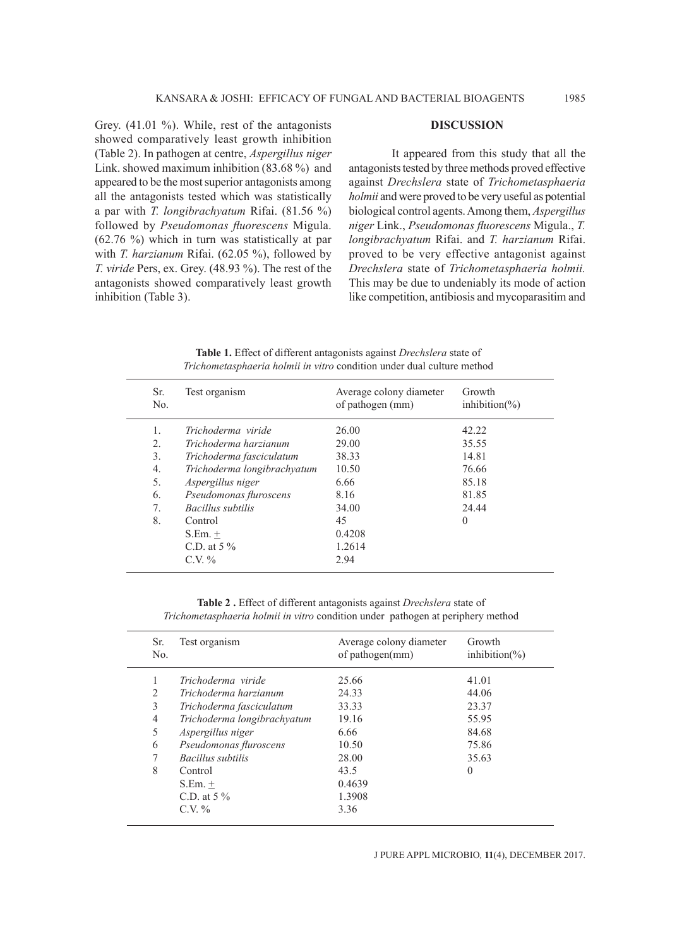Grey. (41.01 %). While, rest of the antagonists showed comparatively least growth inhibition (Table 2). In pathogen at centre, *Aspergillus niger*  Link. showed maximum inhibition (83.68 %) and appeared to be the most superior antagonists among all the antagonists tested which was statistically a par with *T. longibrachyatum* Rifai. (81.56 %) followed by *Pseudomonas fluorescens* Migula. (62.76 %) which in turn was statistically at par with *T. harzianum* Rifai. (62.05 %), followed by *T. viride* Pers, ex. Grey. (48.93 %). The rest of the antagonists showed comparatively least growth inhibition (Table 3).

## **DISCUSSION**

It appeared from this study that all the antagonists tested by three methods proved effective against *Drechslera* state of *Trichometasphaeria holmii* and were proved to be very useful as potential biological control agents. Among them, *Aspergillus niger* Link., *Pseudomonas fluorescens* Migula., *T. longibrachyatum* Rifai. and *T. harzianum* Rifai. proved to be very effective antagonist against *Drechslera* state of *Trichometasphaeria holmii.*  This may be due to undeniably its mode of action like competition, antibiosis and mycoparasitim and

Sr. Test organism Average colony diameter Growth No. **of pathogen** (mm) inhibition(%) 1. *Trichoderma viride* 26.00 42.22<br>2. *Trichoderma harzianum* 29.00 35.55 2. *Trichoderma harzianum* 29.00 3. *Trichoderma fasciculatum* 38.33 14.81 4. *Trichoderma longibrachyatum* 10.50 76.66 5. *Aspergillus niger* 6.66 85.18 6. *Pseudomonas fluroscens* 8.16 81.85 7. *Bacillus subtilis* 34.00 24.44 8. Control 45 0

**Table 1.** Effect of different antagonists against *Drechslera* state of *Trichometasphaeria holmii in vitro* condition under dual culture method

**Table 2 .** Effect of different antagonists against *Drechslera* state of *Trichometasphaeria holmii in vitro* condition under pathogen at periphery method

 $S. Em. + 0.4208$ C.D. at 5 % 1.2614  $C.V. \%$  2.94

| Sr.<br>No. | Test organism               | Average colony diameter<br>of pathogen(mm) | Growth<br>inhibition( $\%$ ) |
|------------|-----------------------------|--------------------------------------------|------------------------------|
| 1          | Trichoderma viride          | 25.66                                      | 41.01                        |
| 2          | Trichoderma harzianum       | 24.33                                      | 44.06                        |
| 3          | Trichoderma fasciculatum    | 33.33                                      | 23.37                        |
| 4          | Trichoderma longibrachyatum | 19.16                                      | 55.95                        |
| 5          | Aspergillus niger           | 6.66                                       | 84.68                        |
| 6          | Pseudomonas fluroscens      | 10.50                                      | 75.86                        |
| 7          | Bacillus subtilis           | 28.00                                      | 35.63                        |
| 8          | Control                     | 43.5                                       | $\theta$                     |
|            | $S.Em. +$                   | 0.4639                                     |                              |
|            | C.D. at $5\%$               | 1.3908                                     |                              |
|            | $C.V. \%$                   | 3.36                                       |                              |